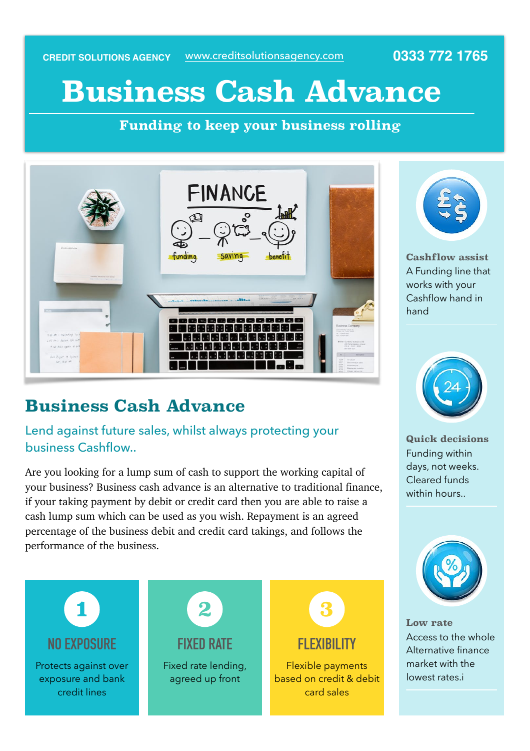www.creditsolutionsagency.com **CREDIT SOLUTIONS AGENCY 0333 772 1765**

# **Business Cash Advance**

 **Funding to keep your business rolling** 



## **Business Cash Advance**

Lend against future sales, whilst always protecting your business Cashflow..

Are you looking for a lump sum of cash to support the working capital of your business? Business cash advance is an alternative to traditional finance, if your taking payment by debit or credit card then you are able to raise a cash lump sum which can be used as you wish. Repayment is an agreed percentage of the business debit and credit card takings, and follows the performance of the business.





**Cashflow assist**  A Funding line that works with your Cashflow hand in hand



**Quick decisions**  Funding within days, not weeks. Cleared funds within hours..



**Low rate**  Access to the whole Alternative finance market with the lowest rates.i